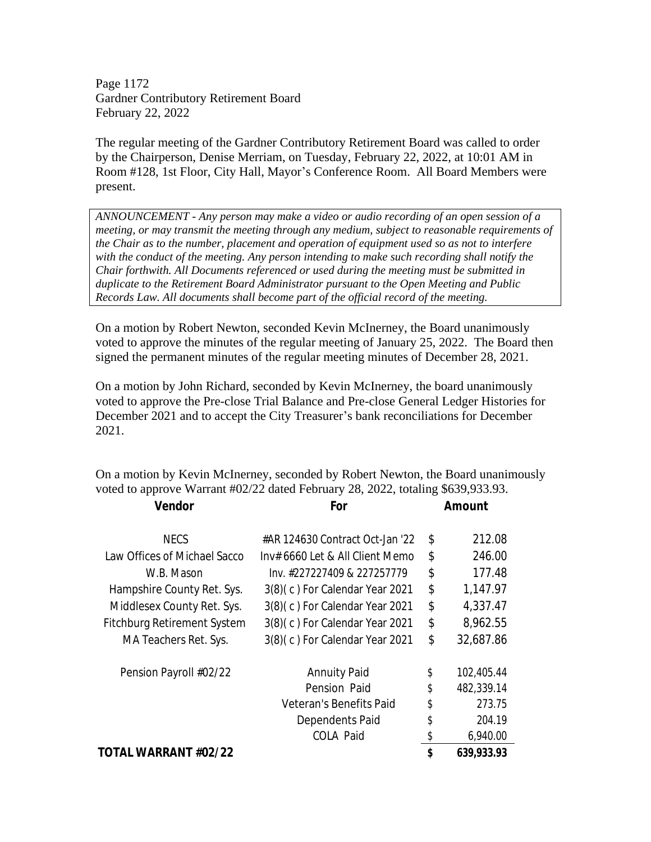Page 1172 Gardner Contributory Retirement Board February 22, 2022

The regular meeting of the Gardner Contributory Retirement Board was called to order by the Chairperson, Denise Merriam, on Tuesday, February 22, 2022, at 10:01 AM in Room #128, 1st Floor, City Hall, Mayor's Conference Room. All Board Members were present.

*ANNOUNCEMENT - Any person may make a video or audio recording of an open session of a meeting, or may transmit the meeting through any medium, subject to reasonable requirements of the Chair as to the number, placement and operation of equipment used so as not to interfere with the conduct of the meeting. Any person intending to make such recording shall notify the Chair forthwith. All Documents referenced or used during the meeting must be submitted in duplicate to the Retirement Board Administrator pursuant to the Open Meeting and Public Records Law. All documents shall become part of the official record of the meeting.*

On a motion by Robert Newton, seconded Kevin McInerney, the Board unanimously voted to approve the minutes of the regular meeting of January 25, 2022. The Board then signed the permanent minutes of the regular meeting minutes of December 28, 2021.

On a motion by John Richard, seconded by Kevin McInerney, the board unanimously voted to approve the Pre-close Trial Balance and Pre-close General Ledger Histories for December 2021 and to accept the City Treasurer's bank reconciliations for December 2021.

On a motion by Kevin McInerney, seconded by Robert Newton, the Board unanimously voted to approve Warrant #02/22 dated February 28, 2022, totaling \$639,933.93. **Vendor For Amount** 

| TOTAL WARRANT #02/22         |                                 | \$<br>639,933.93 |
|------------------------------|---------------------------------|------------------|
|                              | COLA Paid                       | \$<br>6,940.00   |
|                              | Dependents Paid                 | \$<br>204.19     |
|                              | Veteran's Benefits Paid         | \$<br>273.75     |
|                              | Pension Paid                    | \$<br>482,339.14 |
| Pension Payroll #02/22       | <b>Annuity Paid</b>             | \$<br>102,405.44 |
| MA Teachers Ret. Sys.        | 3(8)(c) For Calendar Year 2021  | \$<br>32,687.86  |
| Fitchburg Retirement System  | 3(8)(c) For Calendar Year 2021  | \$<br>8,962.55   |
| Middlesex County Ret. Sys.   | 3(8)(c) For Calendar Year 2021  | \$<br>4,337.47   |
| Hampshire County Ret. Sys.   | 3(8)(c) For Calendar Year 2021  | \$<br>1,147.97   |
| W.B. Mason                   | lnv. #227227409 & 227257779     | \$<br>177.48     |
| Law Offices of Michael Sacco | Inv# 6660 Let & All Client Memo | \$<br>246.00     |
| <b>NECS</b>                  | #AR 124630 Contract Oct-Jan '22 | \$<br>212.08     |
|                              |                                 |                  |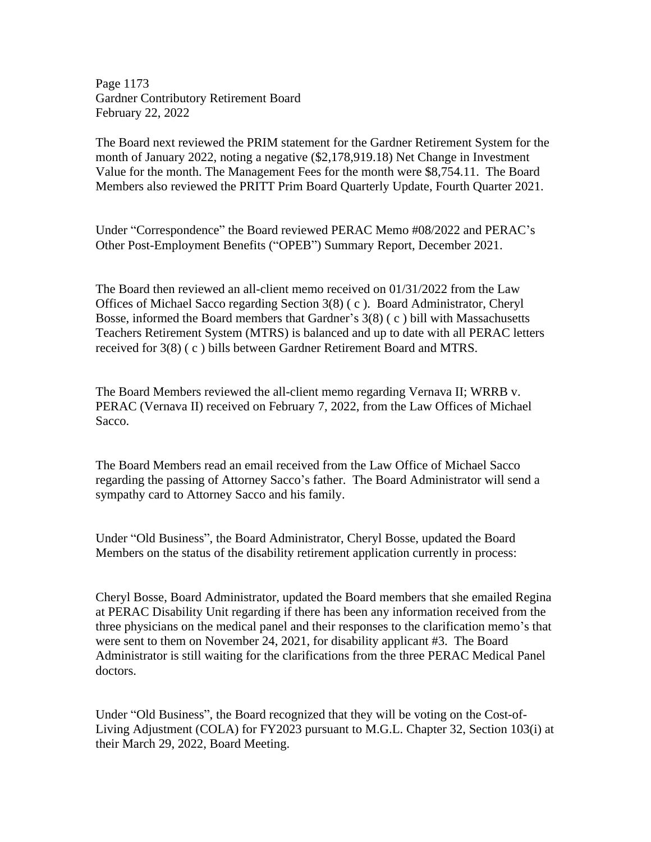Page 1173 Gardner Contributory Retirement Board February 22, 2022

The Board next reviewed the PRIM statement for the Gardner Retirement System for the month of January 2022, noting a negative (\$2,178,919.18) Net Change in Investment Value for the month. The Management Fees for the month were \$8,754.11. The Board Members also reviewed the PRITT Prim Board Quarterly Update, Fourth Quarter 2021.

Under "Correspondence" the Board reviewed PERAC Memo #08/2022 and PERAC's Other Post-Employment Benefits ("OPEB") Summary Report, December 2021.

The Board then reviewed an all-client memo received on 01/31/2022 from the Law Offices of Michael Sacco regarding Section 3(8) ( c ). Board Administrator, Cheryl Bosse, informed the Board members that Gardner's 3(8) ( c ) bill with Massachusetts Teachers Retirement System (MTRS) is balanced and up to date with all PERAC letters received for 3(8) ( c ) bills between Gardner Retirement Board and MTRS.

The Board Members reviewed the all-client memo regarding Vernava II; WRRB v. PERAC (Vernava II) received on February 7, 2022, from the Law Offices of Michael Sacco.

The Board Members read an email received from the Law Office of Michael Sacco regarding the passing of Attorney Sacco's father. The Board Administrator will send a sympathy card to Attorney Sacco and his family.

Under "Old Business", the Board Administrator, Cheryl Bosse, updated the Board Members on the status of the disability retirement application currently in process:

Cheryl Bosse, Board Administrator, updated the Board members that she emailed Regina at PERAC Disability Unit regarding if there has been any information received from the three physicians on the medical panel and their responses to the clarification memo's that were sent to them on November 24, 2021, for disability applicant #3. The Board Administrator is still waiting for the clarifications from the three PERAC Medical Panel doctors.

Under "Old Business", the Board recognized that they will be voting on the Cost-of-Living Adjustment (COLA) for FY2023 pursuant to M.G.L. Chapter 32, Section 103(i) at their March 29, 2022, Board Meeting.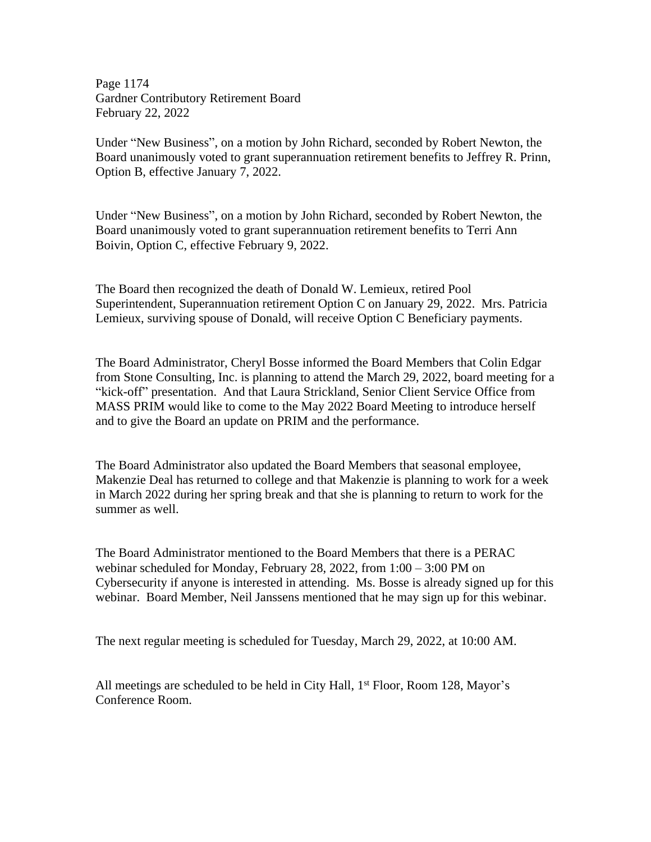Page 1174 Gardner Contributory Retirement Board February 22, 2022

Under "New Business", on a motion by John Richard, seconded by Robert Newton, the Board unanimously voted to grant superannuation retirement benefits to Jeffrey R. Prinn, Option B, effective January 7, 2022.

Under "New Business", on a motion by John Richard, seconded by Robert Newton, the Board unanimously voted to grant superannuation retirement benefits to Terri Ann Boivin, Option C, effective February 9, 2022.

The Board then recognized the death of Donald W. Lemieux, retired Pool Superintendent, Superannuation retirement Option C on January 29, 2022. Mrs. Patricia Lemieux, surviving spouse of Donald, will receive Option C Beneficiary payments.

The Board Administrator, Cheryl Bosse informed the Board Members that Colin Edgar from Stone Consulting, Inc. is planning to attend the March 29, 2022, board meeting for a "kick-off" presentation. And that Laura Strickland, Senior Client Service Office from MASS PRIM would like to come to the May 2022 Board Meeting to introduce herself and to give the Board an update on PRIM and the performance.

The Board Administrator also updated the Board Members that seasonal employee, Makenzie Deal has returned to college and that Makenzie is planning to work for a week in March 2022 during her spring break and that she is planning to return to work for the summer as well.

The Board Administrator mentioned to the Board Members that there is a PERAC webinar scheduled for Monday, February 28, 2022, from 1:00 – 3:00 PM on Cybersecurity if anyone is interested in attending. Ms. Bosse is already signed up for this webinar. Board Member, Neil Janssens mentioned that he may sign up for this webinar.

The next regular meeting is scheduled for Tuesday, March 29, 2022, at 10:00 AM.

All meetings are scheduled to be held in City Hall,  $1<sup>st</sup>$  Floor, Room 128, Mayor's Conference Room.